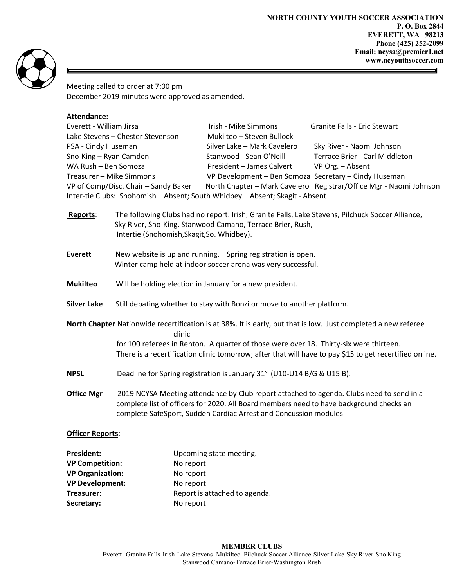

Meeting called to order at 7:00 pm December 2019 minutes were approved as amended.

| Attendance:                                                                  |                                                       |                                                                    |  |
|------------------------------------------------------------------------------|-------------------------------------------------------|--------------------------------------------------------------------|--|
| Everett - William Jirsa                                                      | Irish - Mike Simmons                                  | Granite Falls - Eric Stewart                                       |  |
| Lake Stevens - Chester Stevenson                                             | Mukilteo - Steven Bullock                             |                                                                    |  |
| PSA - Cindy Huseman                                                          | Silver Lake - Mark Cavelero                           | Sky River - Naomi Johnson                                          |  |
| Sno-King - Ryan Camden                                                       | Stanwood - Sean O'Neill                               | Terrace Brier - Carl Middleton                                     |  |
| WA Rush - Ben Somoza                                                         | President - James Calvert                             | VP Org. - Absent                                                   |  |
| Treasurer – Mike Simmons                                                     | VP Development - Ben Somoza Secretary - Cindy Huseman |                                                                    |  |
| VP of Comp/Disc. Chair - Sandy Baker                                         |                                                       | North Chapter - Mark Cavelero Registrar/Office Mgr - Naomi Johnson |  |
| Inter-tie Clubs: Snohomish - Absent; South Whidbey - Absent; Skagit - Absent |                                                       |                                                                    |  |

- Reports: The following Clubs had no report: Irish, Granite Falls, Lake Stevens, Pilchuck Soccer Alliance, Sky River, Sno-King, Stanwood Camano, Terrace Brier, Rush, Intertie (Snohomish,Skagit,So. Whidbey).
- Everett New website is up and running. Spring registration is open. Winter camp held at indoor soccer arena was very successful.
- Mukilteo Will be holding election in January for a new president.
- Silver Lake Still debating whether to stay with Bonzi or move to another platform.
- North Chapter Nationwide recertification is at 38%. It is early, but that is low. Just completed a new referee clinic for 100 referees in Renton. A quarter of those were over 18. Thirty-six were thirteen.

There is a recertification clinic tomorrow; after that will have to pay \$15 to get recertified online.

- **NPSL** Deadline for Spring registration is January 31<sup>st</sup> (U10-U14 B/G & U15 B).
- Office Mgr 2019 NCYSA Meeting attendance by Club report attached to agenda. Clubs need to send in a complete list of officers for 2020. All Board members need to have background checks an complete SafeSport, Sudden Cardiac Arrest and Concussion modules

## Officer Reports:

| <b>President:</b>       | Upcoming state meeting.       |
|-------------------------|-------------------------------|
| <b>VP Competition:</b>  | No report                     |
| <b>VP Organization:</b> | No report                     |
| <b>VP Development:</b>  | No report                     |
| Treasurer:              | Report is attached to agenda. |
| Secretary:              | No report                     |